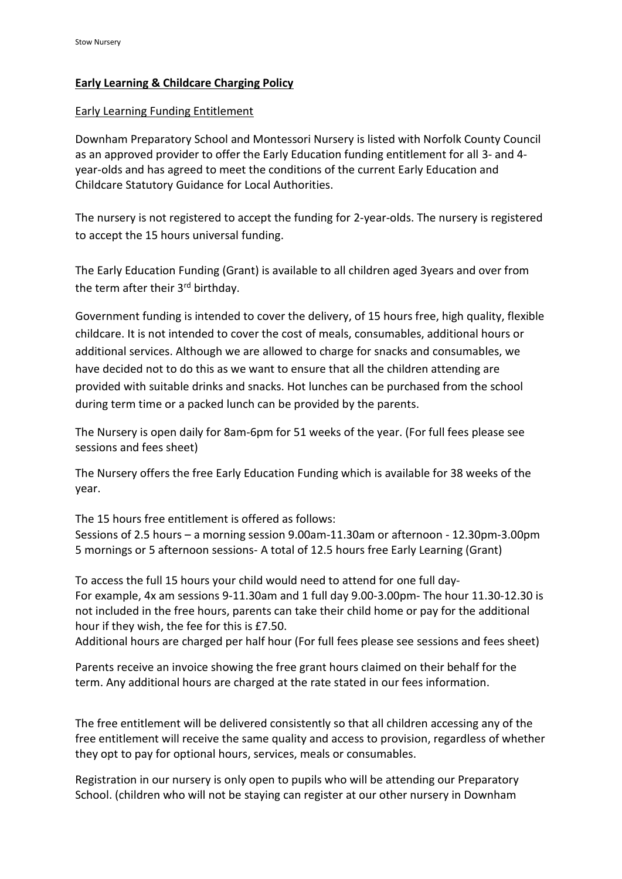## **Early Learning & Childcare Charging Policy**

## Early Learning Funding Entitlement

Downham Preparatory School and Montessori Nursery is listed with Norfolk County Council as an approved provider to offer the Early Education funding entitlement for all 3- and 4 year-olds and has agreed to meet the conditions of the current Early Education and Childcare Statutory Guidance for Local Authorities.

The nursery is not registered to accept the funding for 2-year-olds. The nursery is registered to accept the 15 hours universal funding.

The Early Education Funding (Grant) is available to all children aged 3years and over from the term after their 3<sup>rd</sup> birthday.

Government funding is intended to cover the delivery, of 15 hours free, high quality, flexible childcare. It is not intended to cover the cost of meals, consumables, additional hours or additional services. Although we are allowed to charge for snacks and consumables, we have decided not to do this as we want to ensure that all the children attending are provided with suitable drinks and snacks. Hot lunches can be purchased from the school during term time or a packed lunch can be provided by the parents.

The Nursery is open daily for 8am-6pm for 51 weeks of the year. (For full fees please see sessions and fees sheet)

The Nursery offers the free Early Education Funding which is available for 38 weeks of the year.

The 15 hours free entitlement is offered as follows: Sessions of 2.5 hours – a morning session 9.00am-11.30am or afternoon - 12.30pm-3.00pm 5 mornings or 5 afternoon sessions- A total of 12.5 hours free Early Learning (Grant)

To access the full 15 hours your child would need to attend for one full day-For example, 4x am sessions 9-11.30am and 1 full day 9.00-3.00pm- The hour 11.30-12.30 is not included in the free hours, parents can take their child home or pay for the additional hour if they wish, the fee for this is £7.50.

Additional hours are charged per half hour (For full fees please see sessions and fees sheet)

Parents receive an invoice showing the free grant hours claimed on their behalf for the term. Any additional hours are charged at the rate stated in our fees information.

The free entitlement will be delivered consistently so that all children accessing any of the free entitlement will receive the same quality and access to provision, regardless of whether they opt to pay for optional hours, services, meals or consumables.

Registration in our nursery is only open to pupils who will be attending our Preparatory School. (children who will not be staying can register at our other nursery in Downham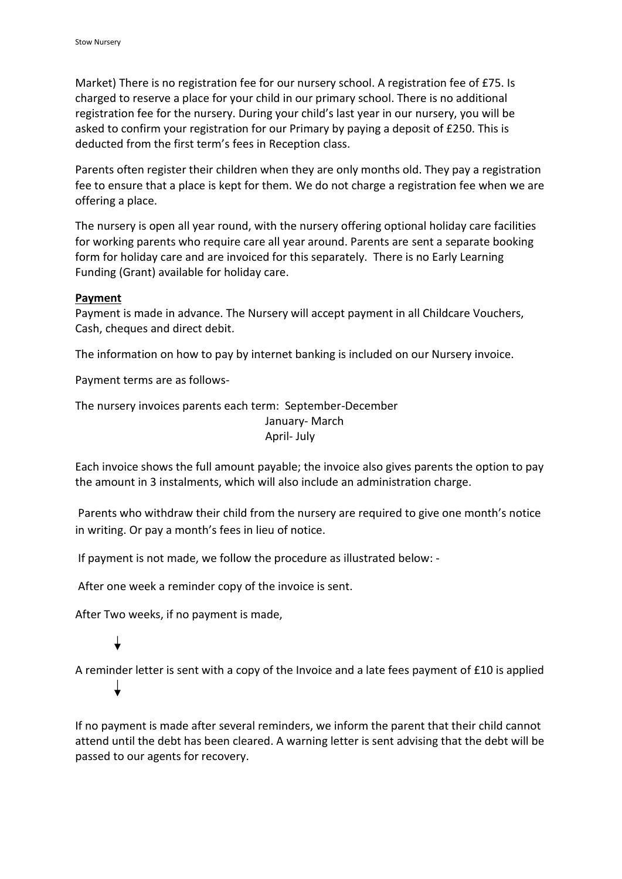Market) There is no registration fee for our nursery school. A registration fee of £75. Is charged to reserve a place for your child in our primary school. There is no additional registration fee for the nursery. During your child's last year in our nursery, you will be asked to confirm your registration for our Primary by paying a deposit of £250. This is deducted from the first term's fees in Reception class.

Parents often register their children when they are only months old. They pay a registration fee to ensure that a place is kept for them. We do not charge a registration fee when we are offering a place.

The nursery is open all year round, with the nursery offering optional holiday care facilities for working parents who require care all year around. Parents are sent a separate booking form for holiday care and are invoiced for this separately. There is no Early Learning Funding (Grant) available for holiday care.

## **Payment**

Payment is made in advance. The Nursery will accept payment in all Childcare Vouchers, Cash, cheques and direct debit.

The information on how to pay by internet banking is included on our Nursery invoice.

Payment terms are as follows-

The nursery invoices parents each term: September-December January- March

April- July

Each invoice shows the full amount payable; the invoice also gives parents the option to pay the amount in 3 instalments, which will also include an administration charge.

Parents who withdraw their child from the nursery are required to give one month's notice in writing. Or pay a month's fees in lieu of notice.

If payment is not made, we follow the procedure as illustrated below: -

After one week a reminder copy of the invoice is sent.

After Two weeks, if no payment is made,

A reminder letter is sent with a copy of the Invoice and a late fees payment of £10 is applied

If no payment is made after several reminders, we inform the parent that their child cannot attend until the debt has been cleared. A warning letter is sent advising that the debt will be passed to our agents for recovery.